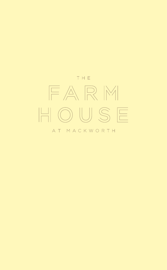

#### AT MACKWORTH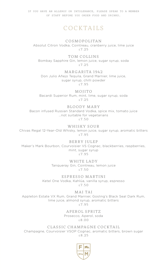IF YOU HAVE AN ALLERGY OR INTOLERANCE, PLEASE SPEAK TO A MEMBER OF STAFF BEFORE YOU ORDER FOOD AND DRINKS.

## COCKTAILS

COSMOPOLITAN Absolut Citron Vodka, Cointreau, cranberry juice, lime juice £7.25

TOM COLLINS Bombay Sapphire Gin, lemon juice, sugar syrup, soda £7.25

MARGARITA 1942 Don Julio Añejo Tequila, Grand Marnier, lime juice, sugar syrup, chilli powder £7.95

MOJITO Bacardi Superior Rum, mint, lime, sugar syrup, soda £7.25

BLOODY MARY Bacon infused Russian Standard Vodka, spice mix, tomato juice …not suitable for vegetarians £7.50

WHISKY SOUR Chivas Regal 12-Year-Old Whisky, lemon juice, sugar syrup, aromatic bitters £7.95

BERRY JULEP Maker's Mark Bourbon, Courvoisier VS Cognac, blackberries, raspberries, mint, sugar syrup £7.95

> WHITE LADY Tanqueray Gin, Cointreau, lemon juice £7.50

ESPRESSO MARTINI Ketel One Vodka, Kahlúa, vanilla syrup, espresso  $£7.50$ 

MAI TAI Appleton Estate VX Rum, Grand Marnier, Gosling's Black Seal Dark Rum, lime juice, almond syrup, aromatic bitters £7.95

> APEROL SPRITZ Prosecco, Aperol, soda £8.00

CLASSIC CHAMPAGNE COCKTAIL Champagne, Courvoisier VSOP Cognac, aromatic bitters, brown sugar £8.25

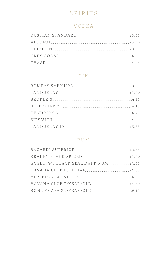# SPIRITS

#### VODKA

| CHASE 4.95 |  |
|------------|--|

#### GIN

#### RUM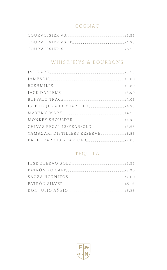## COGNAC

#### WHISK(E)YS & BOURBONS

#### TEQUILA

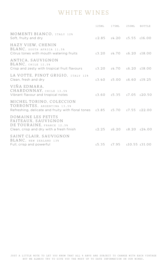## WHITE WINES

|  | 125ML 175ML 250ML BOTTLE<br>£2.85 £4.20 £5.55 £16.00<br>$£3.20$ $£4.70$ $£6.20$ $£18.00$<br>$£3.20$ $£4.70$ $£6.20$ $£18.00$<br>£3.40 £5.00 £6.60 £19.25<br>£3.60 £5.35 £7.05 £20.50<br>Refreshing, delicate and fruity with floral tones $\pm 3.85$ $\pm 5.70$ $\pm 7.55$ $\pm 22.00$<br>$£2.25$ £6.20 £8.20 £24.00<br>£5.35 £7.95 £10.55 £31.00 |
|--|---------------------------------------------------------------------------------------------------------------------------------------------------------------------------------------------------------------------------------------------------------------------------------------------------------------------------------------------------|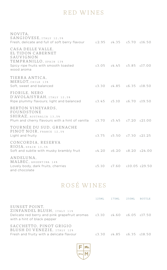## RED WINES

| NOVITA.<br>SANGIOVESE, ITALY 12.5%<br>Fresh, delicate and full of soft berry flavour $\pm 2.95$ $\pm 4.35$ $\pm 5.70$ $\pm 16.50$                          |                                  |                             |  |
|------------------------------------------------------------------------------------------------------------------------------------------------------------|----------------------------------|-----------------------------|--|
| CASA DELLE VALLE.<br>EL TIDON CABERNET<br>SAUVIGNON<br>TEMPRANILLO, SPAIN 13%<br>Spicy ripe fruits with smooth toasted<br>wood aroma                       | $£3.05$ $£4.45$ $£5.85$ $£17.00$ |                             |  |
| TIERRA ANTICA.<br>MERLOT. CHILE 13%<br>Soft, sweet and balanced                                                                                            |                                  | £3.30 £4.85 £6.35 £18.50    |  |
| FIORILE, NERO<br>D'AVOLA/SYRAH, ITALY 12.5%<br>Ripe plummy flavours; light and balanced                                                                    | $£3.45$ $£5.10$ $£6.70$ $£19.50$ |                             |  |
| BERTON VINEYARDS.<br>FOUNDSTONE<br>SHIRAZ, AUSTRALIA 13.5%<br>Plum and cherry flavours with a hint of vanilla $\pm 3.70$ $\pm 5.45$ $\pm 7.20$ $\pm 21.00$ |                                  |                             |  |
| TOURNÉE DU SUD, GRENACHE<br>PINOT NOIR. FRANCE 12.5%<br>Light and fruity                                                                                   |                                  | £3.75 £5.50 £7.30 £21.25    |  |
| CONCORDIA, RESERVA<br>RIOJA, SPAIN 13.5%<br>Soft and subtle with musky brambly fruit                                                                       | £4.20 £6.20 £8.20 £24.00         |                             |  |
| ANDELUNA.<br>MALBEC, ARGENTINA 14%<br>Lovely body, dark fruits, cherries<br>and chocolate                                                                  |                                  | £5.10 $£7.60$ £10.05 £29.50 |  |

# ROSÉ WINES

|  | Delicate red berry and pink grapefruit aromas $\pm 3.10$ $\pm 4.60$ $\pm 6.05$ $\pm 17.50$<br>£3.30 £4.85 £6.35 £18.50 |
|--|------------------------------------------------------------------------------------------------------------------------|

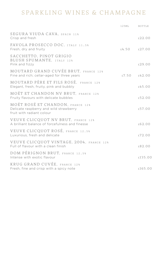# SPARKLING WINES & CHAMPAGNE

|                                                                                                         | 12.5MT.        | BOTTLE  |
|---------------------------------------------------------------------------------------------------------|----------------|---------|
| SEGURA VIUDA CAVA, SPAIN 11%<br>Crisp and fresh                                                         |                | £22.00  |
| FAVOLA PROSECCO DOC, ITALY 11.5%<br>Fresh, dry and fruity                                               | f.4.50 f.27.00 |         |
| SACCHETTO, PINOT GRIGIO<br>BLUSH SPUMANTE, ITALY 12%<br>Pink and fizzy                                  |                | £29.00  |
| MOUTARD GRAND CUVÉE BRUT, FRANCE 12%<br>Fine and rich; cellar-aged for three years                      | £7.50  £42.00  |         |
| MOUTARD PÈRE ET FILS ROSÉ. FRANCE 12%<br>Elegant, fresh, fruity, pink and bubbly                        |                | f.45.00 |
| MOËT ET CHANDON NV BRUT. FRANCE 12%<br>Fruity flavours with delicate bubbles                            |                | £52.00  |
| MOËT ROSÉ ET CHANDON, FRANCE 12%<br>Delicate raspberry and wild strawberry<br>fruit with radiant colour |                | £57.00  |
| VEUVE CLICQUOT NV BRUT, FRANCE 12%<br>A brilliant balance of forcefulness and finesse                   |                | £62.00  |
| VEUVE CLICQUOT ROSÉ, FRANCE 12.5%<br>Luxurious, fresh and delicate                                      |                | £72.00  |
| VEUVE CLICQUOT VINTAGE, 2004, FRANCE 12%<br>Full of flavour with a clean finish                         |                | £82.00  |
| <b>DOM PERIGNON BRUT. FRANCE 12.5%</b><br>Intense with exotic flavour                                   |                | £135.00 |
| KRUG GRAND CUVÉE. FRANCE 12%<br>Fresh, fine and crisp with a spicy note                                 |                | £165.00 |
|                                                                                                         |                |         |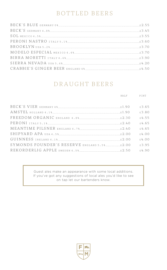# BOTTLED BEERS

### DRAUGHT BEERS

|                                             | H A T.F | PINT   |
|---------------------------------------------|---------|--------|
|                                             |         |        |
|                                             |         | £3.65  |
|                                             |         | f.3.80 |
|                                             |         | 5455   |
|                                             |         | 5465   |
|                                             |         | f.4.65 |
|                                             |         | f.4.00 |
|                                             |         | f.4.00 |
| SYMONDS FOUNDER'S RESERVE ENGLAND 5.5% 2.00 |         | f 395  |
|                                             |         | f490   |

Guest ales make an appearance with some local additions. If you've got any suggestions of local ales you'd like to see on tap let our bartenders know.

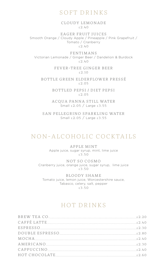#### SOFT DRINKS

CLOUDY LEMONADE  $£2.40$ 

EAGER FRUIT JUICES Smooth Orange / Cloudy Apple / Pineapple / Pink Grapefruit / Tomato / Cranberry  $2.7.60$ 

FENTIMANS Victorian Lemonade / Ginger Beer / Dandelion & Burdock £2.40

> FEVER-TREE GINGER BEER  $£2.10$

BOTTLE GREEN ELDERFLOWER PRESSÉ £2.05

> BOTTLED PEPSI / DIET PEPSI £2.05

ACQUA PANNA STILL WATER Small £2.05 / Large £3.55

SAN PELLEGRINO SPARKLING WATER Small £2.05 / Large £3.55

#### NON-ALCOHOLIC COCKTAILS

APPLE MINT Apple juice, sugar syrup, mint, lime juice  $£3.50$ 

NOT SO COSMO Cranberry juice, orange juice, sugar syrup, lime juice £3.50

BLOODY SHAME Tomato juice, lemon juice, Worcestershire sauce, Tabasco, celery, salt, pepper £3.50

## HOT DRINKS

| BREW TEA CO.    |  |
|-----------------|--|
|                 |  |
|                 |  |
| DOUBLE ESPRESSO |  |
|                 |  |
| AMERICANO       |  |
|                 |  |
|                 |  |